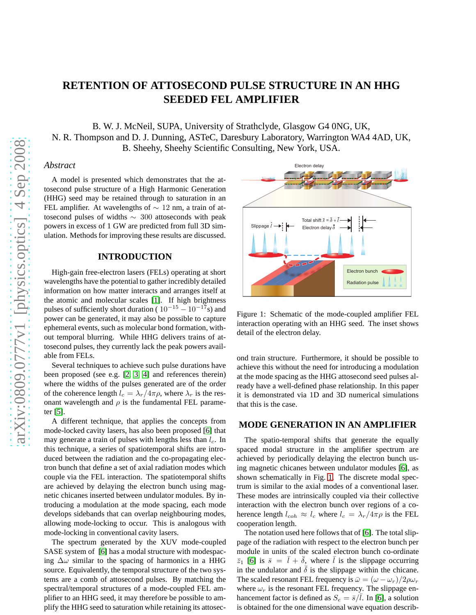# **RETENTION OF ATTOSECOND PULSE STRUCTURE IN AN HHG SEEDED FEL AMPLIFIER**

B. W. J. McNeil, SUPA, University of Strathclyde, Glasgow G4 0NG, UK, N. R. Thompson and D. J. Dunning, ASTeC, Daresbury Laboratory, Warrington WA4 4AD, UK, B. Sheehy, Sheehy Scientific Consulting, New York, USA.

#### *Abstract*

A model is presented which demonstrates that the attosecond pulse structure of a High Harmonic Generation (HHG) seed may be retained through to saturation in an FEL amplifier. At wavelengths of  $\sim$  12 nm, a train of attosecond pulses of widths ∼ 300 attoseconds with peak powers in excess of 1 GW are predicted from full 3D simulation. Methods for improving these results are discussed.

# **INTRODUCTION**

High-gain free-electron lasers (FELs) operating at short wavelengths have the potential to gather incredibly detailed information on how matter interacts and arranges itself at the atomic and molecular scales [\[1\]](#page-3-0). If high brightness pulses of sufficiently short duration ( $10^{-15} - 10^{-17}$ s) and power can be generated, it may also be possible to capture ephemeral events, such as molecular bond formation, without temporal blurring. While HHG delivers trains of attosecond pulses, they currently lack the peak powers available from FELs.

Several techniques to achieve such pulse durations have been proposed (see e.g. [\[2,](#page-3-1) [3,](#page-3-2) [4\]](#page-3-3) and references therein) where the widths of the pulses generated are of the order of the coherence length  $l_c = \lambda_r/4\pi\rho$ , where  $\lambda_r$  is the resonant wavelength and  $\rho$  is the fundamental FEL parameter [\[5\]](#page-3-4).

A different technique, that applies the concepts from mode-locked cavity lasers, has also been proposed [\[6\]](#page-3-5) that may generate a train of pulses with lengths less than  $l_c$ . In this technique, a series of spatiotemporal shifts are introduced between the radiation and the co-propagating electron bunch that define a set of axial radiation modes which couple via the FEL interaction. The spatiotemporal shifts are achieved by delaying the electron bunch using magnetic chicanes inserted between undulator modules. By introducing a modulation at the mode spacing, each mode develops sidebands that can overlap neighbouring modes, allowing mode-locking to occur. This is analogous with mode-locking in conventional cavity lasers.

The spectrum generated by the XUV mode-coupled SASE system of [\[6\]](#page-3-5) has a modal structure with modespacing  $\Delta\omega$  similar to the spacing of harmonics in a HHG source. Equivalently, the temporal structure of the two systems are a comb of attosecond pulses. By matching the spectral/temporal structures of a mode-coupled FEL amplifier to an HHG seed, it may therefore be possible to amplify the HHG seed to saturation while retaining its attosec-



<span id="page-0-0"></span>Figure 1: Schematic of the mode-coupled amplifier FEL interaction operating with an HHG seed. The inset shows detail of the electron delay.

ond train structure. Furthermore, it should be possible to achieve this without the need for introducing a modulation at the mode spacing as the HHG attosecond seed pulses already have a well-defined phase relationship. In this paper it is demonstrated via 1D and 3D numerical simulations that this is the case.

#### **MODE GENERATION IN AN AMPLIFIER**

The spatio-temporal shifts that generate the equally spaced modal structure in the amplifier spectrum are achieved by periodically delaying the electron bunch using magnetic chicanes between undulator modules [\[6\]](#page-3-5), as shown schematically in Fig. [1.](#page-0-0) The discrete modal spectrum is similar to the axial modes of a conventional laser. These modes are intrinsically coupled via their collective interaction with the electron bunch over regions of a coherence length  $l_{coh} \approx l_c$  where  $l_c = \lambda_r/4\pi\rho$  is the FEL cooperation length.

The notation used here follows that of [\[6\]](#page-3-5). The total slippage of the radiation with respect to the electron bunch per module in units of the scaled electron bunch co-ordinate  $\bar{z}_1$  [\[6\]](#page-3-5) is  $\bar{s} = \bar{l} + \bar{\delta}$ , where  $\bar{l}$  is the slippage occurring in the undulator and  $\overline{\delta}$  is the slippage within the chicane. The scaled resonant FEL frequency is  $\bar{\omega} = (\omega - \omega_r)/2\rho\omega_r$ where  $\omega_r$  is the resonant FEL frequency. The slippage enhancement factor is defined as  $S_e = \bar{s}/\bar{l}$ . In [\[6\]](#page-3-5), a solution is obtained for the one dimensional wave equation describ-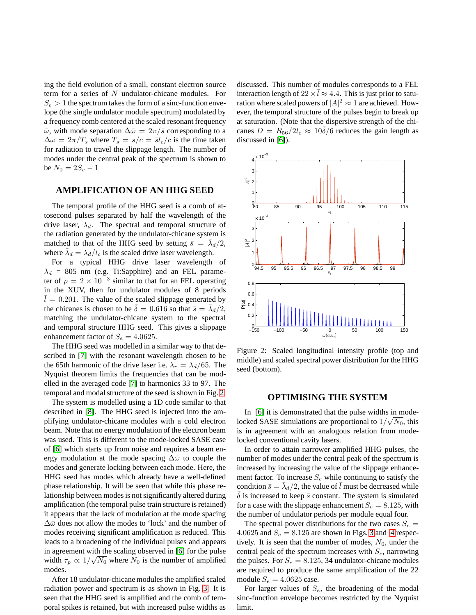ing the field evolution of a small, constant electron source term for a series of N undulator-chicane modules. For  $S_e > 1$  the spectrum takes the form of a sinc-function envelope (the single undulator module spectrum) modulated by a frequency comb centered at the scaled resonant frequency  $\bar{\omega}$ , with mode separation  $\Delta\bar{\omega} = 2\pi/\bar{s}$  corresponding to a  $\Delta \omega = 2\pi/T_s$  where  $T_s = s/c = \bar{s}l_c/c$  is the time taken for radiation to travel the slippage length. The number of modes under the central peak of the spectrum is shown to be  $N_0 = 2S_e - 1$ 

### **AMPLIFICATION OF AN HHG SEED**

The temporal profile of the HHG seed is a comb of attosecond pulses separated by half the wavelength of the drive laser,  $\lambda_d$ . The spectral and temporal structure of the radiation generated by the undulator-chicane system is matched to that of the HHG seed by setting  $\bar{s} = \bar{\lambda}_d/2$ , where  $\bar{\lambda}_d = \lambda_d / l_c$  is the scaled drive laser wavelength.

For a typical HHG drive laser wavelength of  $\lambda_d$  = 805 nm (e.g. Ti:Sapphire) and an FEL parameter of  $\rho = 2 \times 10^{-3}$  similar to that for an FEL operating in the XUV, then for undulator modules of 8 periods  $l = 0.201$ . The value of the scaled slippage generated by the chicanes is chosen to be  $\overline{\delta} = 0.616$  so that  $\overline{s} = \overline{\lambda}_d/2$ , matching the undulator-chicane system to the spectral and temporal structure HHG seed. This gives a slippage enhancement factor of  $S_e = 4.0625$ .

The HHG seed was modelled in a similar way to that described in [\[7\]](#page-3-6) with the resonant wavelength chosen to be the 65th harmonic of the drive laser i.e.  $\lambda_r = \lambda_d/65$ . The Nyquist theorem limits the frequencies that can be modelled in the averaged code [\[7\]](#page-3-6) to harmonics 33 to 97. The temporal and modal structure of the seed is shown in Fig. [2.](#page-1-0)

The system is modelled using a 1D code similar to that described in [\[8\]](#page-3-7). The HHG seed is injected into the amplifying undulator-chicane modules with a cold electron beam. Note that no energy modulation of the electron beam was used. This is different to the mode-locked SASE case of [\[6\]](#page-3-5) which starts up from noise and requires a beam energy modulation at the mode spacing  $\Delta\bar{\omega}$  to couple the modes and generate locking between each mode. Here, the HHG seed has modes which already have a well-defined phase relationship. It will be seen that while this phase relationship between modes is not significantly altered during amplification (the temporal pulse train structure is retained) it appears that the lack of modulation at the mode spacing  $\Delta\bar{\omega}$  does not allow the modes to 'lock' and the number of modes receiving significant amplification is reduced. This leads to a broadening of the individual pulses and appears in agreement with the scaling observed in [\[6\]](#page-3-5) for the pulse width  $\tau_p \propto 1/\sqrt{N_0}$  where  $N_0$  is the number of amplified modes.

After 18 undulator-chicane modules the amplified scaled radiation power and spectrum is as shown in Fig. [3.](#page-2-0) It is seen that the HHG seed is amplified and the comb of temporal spikes is retained, but with increased pulse widths as discussed. This number of modules corresponds to a FEL interaction length of  $22 \times \bar{l} \approx 4.4$ . This is just prior to saturation where scaled powers of  $|A|^2 \approx 1$  are achieved. However, the temporal structure of the pulses begin to break up at saturation. (Note that the dispersive strength of the chicanes  $D = R_{56}/2l_c \approx 10\delta/6$  reduces the gain length as discussed in [\[6\]](#page-3-5)).



<span id="page-1-0"></span>Figure 2: Scaled longitudinal intensity profile (top and middle) and scaled spectral power distribution for the HHG seed (bottom).

### **OPTIMISING THE SYSTEM**

In [\[6\]](#page-3-5) it is demonstrated that the pulse widths in modelocked SASE simulations are proportional to  $1/\sqrt{N_0}$ , this is in agreement with an analogous relation from modelocked conventional cavity lasers.

In order to attain narrower amplified HHG pulses, the number of modes under the central peak of the spectrum is increased by increasing the value of the slippage enhancement factor. To increase  $S_e$  while continuing to satisfy the condition  $\bar{s} = \bar{\lambda}_d/2$ , the value of  $\bar{l}$  must be decreased while  $\delta$  is increased to keep  $\bar{s}$  constant. The system is simulated for a case with the slippage enhancement  $S_e = 8.125$ , with the number of undulator periods per module equal four.

The spectral power distributions for the two cases  $S_e$  = 4.0625 and  $S_e = 8.125$  are shown in Figs. [3](#page-2-0) and [4](#page-2-1) respectively. It is seen that the number of modes,  $N_0$ , under the central peak of the spectrum increases with  $S_e$ , narrowing the pulses. For  $S_e = 8.125$ , 34 undulator-chicane modules are required to produce the same amplification of the 22 module  $S_e = 4.0625$  case.

For larger values of  $S_e$ , the broadening of the modal sinc-function envelope becomes restricted by the Nyquist limit.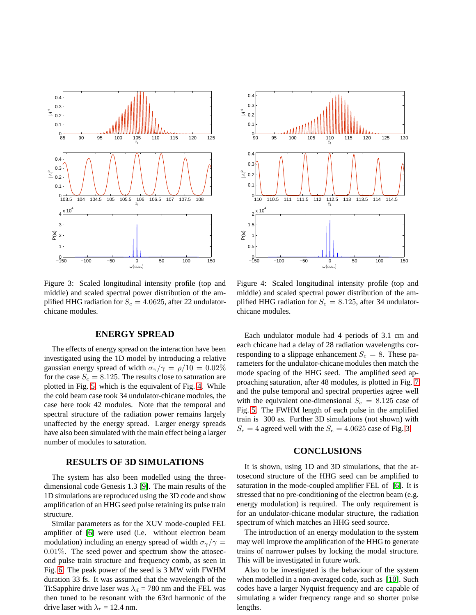

<span id="page-2-0"></span>Figure 3: Scaled longitudinal intensity profile (top and middle) and scaled spectral power distribution of the amplified HHG radiation for  $S_e = 4.0625$ , after 22 undulatorchicane modules.

# **ENERGY SPREAD**

The effects of energy spread on the interaction have been investigated using the 1D model by introducing a relative gaussian energy spread of width  $\sigma_{\gamma}/\gamma = \rho/10 = 0.02\%$ for the case  $S_e = 8.125$ . The results close to saturation are plotted in Fig. [5,](#page-3-8) which is the equivalent of Fig. [4.](#page-2-1) While the cold beam case took 34 undulator-chicane modules, the case here took 42 modules. Note that the temporal and spectral structure of the radiation power remains largely unaffected by the energy spread. Larger energy spreads have also been simulated with the main effect being a larger number of modules to saturation.

## **RESULTS OF 3D SIMULATIONS**

The system has also been modelled using the threedimensional code Genesis 1.3 [\[9\]](#page-3-9). The main results of the 1D simulations are reproduced using the 3D code and show amplification of an HHG seed pulse retaining its pulse train structure.

Similar parameters as for the XUV mode-coupled FEL amplifier of [\[6\]](#page-3-5) were used (i.e. without electron beam modulation) including an energy spread of width  $\sigma_{\gamma}/\gamma =$ 0.01%. The seed power and spectrum show the attosecond pulse train structure and frequency comb, as seen in Fig. [6.](#page-3-10) The peak power of the seed is 3 MW with FWHM duration 33 fs. It was assumed that the wavelength of the Ti:Sapphire drive laser was  $\lambda_d = 780$  nm and the FEL was then tuned to be resonant with the 63rd harmonic of the drive laser with  $\lambda_r = 12.4$  nm.



<span id="page-2-1"></span>Figure 4: Scaled longitudinal intensity profile (top and middle) and scaled spectral power distribution of the amplified HHG radiation for  $S_e = 8.125$ , after 34 undulatorchicane modules.

Each undulator module had 4 periods of 3.1 cm and each chicane had a delay of 28 radiation wavelengths corresponding to a slippage enhancement  $S_e = 8$ . These parameters for the undulator-chicane modules then match the mode spacing of the HHG seed. The amplified seed approaching saturation, after 48 modules, is plotted in Fig. [7](#page-3-11) and the pulse temporal and spectral properties agree well with the equivalent one-dimensional  $S_e = 8.125$  case of Fig. [5.](#page-3-8) The FWHM length of each pulse in the amplified train is 300 as. Further 3D simulations (not shown) with  $S_e = 4$  agreed well with the  $S_e = 4.0625$  case of Fig. [3.](#page-2-0)

#### **CONCLUSIONS**

It is shown, using 1D and 3D simulations, that the attosecond structure of the HHG seed can be amplified to saturation in the mode-coupled amplifier FEL of [\[6\]](#page-3-5). It is stressed that no pre-conditioning of the electron beam (e.g. energy modulation) is required. The only requirement is for an undulator-chicane modular structure, the radiation spectrum of which matches an HHG seed source.

The introduction of an energy modulation to the system may well improve the amplification of the HHG to generate trains of narrower pulses by locking the modal structure. This will be investigated in future work.

Also to be investigated is the behaviour of the system when modelled in a non-averaged code, such as [\[10\]](#page-3-12). Such codes have a larger Nyquist frequency and are capable of simulating a wider frequency range and so shorter pulse lengths.